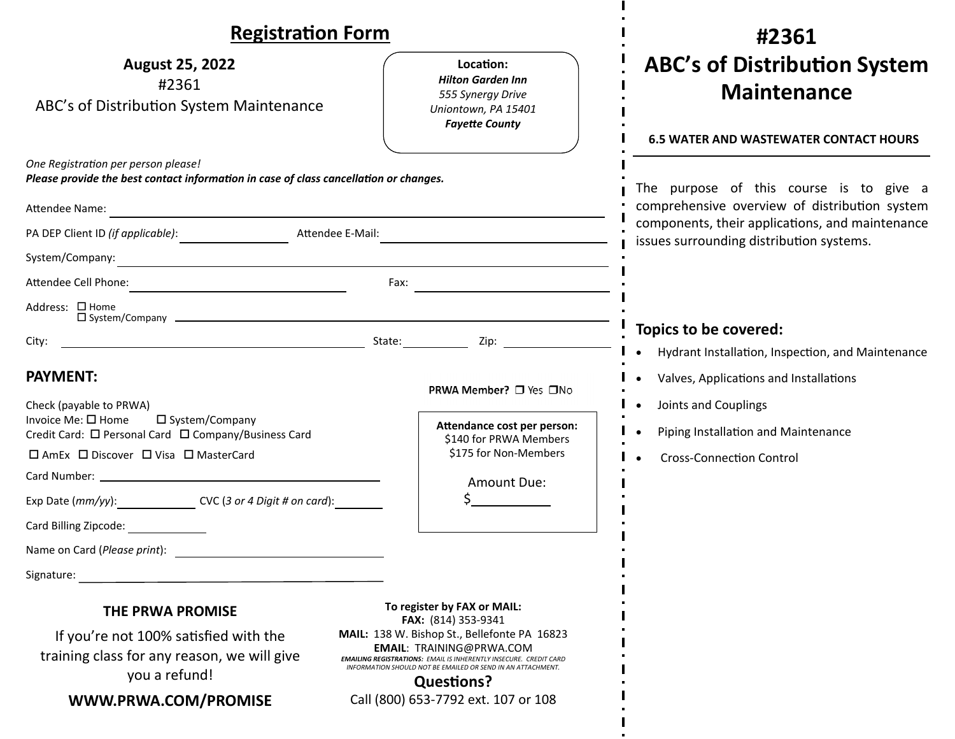| <b>Registration Form</b>                                                                                                                                                                                                                                                                                                                                                                                            |                                                                                                                                                                                                                                                                                                                                                                 | #2361                                                                                                                                                                                                                  |
|---------------------------------------------------------------------------------------------------------------------------------------------------------------------------------------------------------------------------------------------------------------------------------------------------------------------------------------------------------------------------------------------------------------------|-----------------------------------------------------------------------------------------------------------------------------------------------------------------------------------------------------------------------------------------------------------------------------------------------------------------------------------------------------------------|------------------------------------------------------------------------------------------------------------------------------------------------------------------------------------------------------------------------|
| <b>August 25, 2022</b><br>#2361<br>ABC's of Distribution System Maintenance                                                                                                                                                                                                                                                                                                                                         | Location:<br><b>Hilton Garden Inn</b><br>555 Synergy Drive<br>Uniontown, PA 15401<br><b>Fayette County</b>                                                                                                                                                                                                                                                      | <b>ABC's of Distribution System</b><br><b>Maintenance</b><br><b>6.5 WATER AND WASTEWATER CONTACT HOURS</b>                                                                                                             |
| One Registration per person please!<br>Please provide the best contact information in case of class cancellation or changes.<br>Attendee Name:<br><u> 1980 - Johann Stein, mars an deutscher Stein († 1980)</u><br>PA DEP Client ID (if applicable):<br>Attendee E-Mail:<br>System/Company:<br><u> 1989 - Johann Barbert, mars ar breithinn ar breithinn an t-Amhain ann an t-Amhain an t-Amhain an t-Amhain an</u> |                                                                                                                                                                                                                                                                                                                                                                 | The purpose of this course is to give a<br>comprehensive overview of distribution system<br>components, their applications, and maintenance<br>issues surrounding distribution systems.                                |
|                                                                                                                                                                                                                                                                                                                                                                                                                     | Fax: $\overline{\phantom{a}}$                                                                                                                                                                                                                                                                                                                                   |                                                                                                                                                                                                                        |
| Address: □ Home<br>City:<br><b>PAYMENT:</b><br>Check (payable to PRWA)<br>Invoice Me: □ Home<br>□ System/Company<br>Credit Card: □ Personal Card □ Company/Business Card<br>□ AmEx □ Discover □ Visa □ MasterCard<br>Exp Date (mm/yy): CVC (3 or 4 Digit # on card):<br>Card Billing Zipcode:<br>Name on Card (Please print):<br>Signature:                                                                         | <u>in the state of the state of the state of the state of the state of the state of the state of the state of the state of the state of the state of the state of the state of the state of the state of the state of the state </u><br>PRWA Member? □ Yes □No<br>Attendance cost per person:<br>\$140 for PRWA Members<br>\$175 for Non-Members<br>Amount Due: | Topics to be covered:<br>Hydrant Installation, Inspection, and Maintenance<br>Valves, Applications and Installations<br>Joints and Couplings<br>Piping Installation and Maintenance<br><b>Cross-Connection Control</b> |
| THE PRWA PROMISE<br>If you're not 100% satisfied with the<br>training class for any reason, we will give<br>you a refund!<br>WWW.PRWA.COM/PROMISE                                                                                                                                                                                                                                                                   | To register by FAX or MAIL:<br>FAX: (814) 353-9341<br>MAIL: 138 W. Bishop St., Bellefonte PA 16823<br><b>EMAIL: TRAINING@PRWA.COM</b><br><b>EMAILING REGISTRATIONS: EMAIL IS INHERENTLY INSECURE. CREDIT CARD</b><br>INFORMATION SHOULD NOT BE EMAILED OR SEND IN AN ATTACHMENT.<br><b>Questions?</b><br>Call (800) 653-7792 ext. 107 or 108                    |                                                                                                                                                                                                                        |